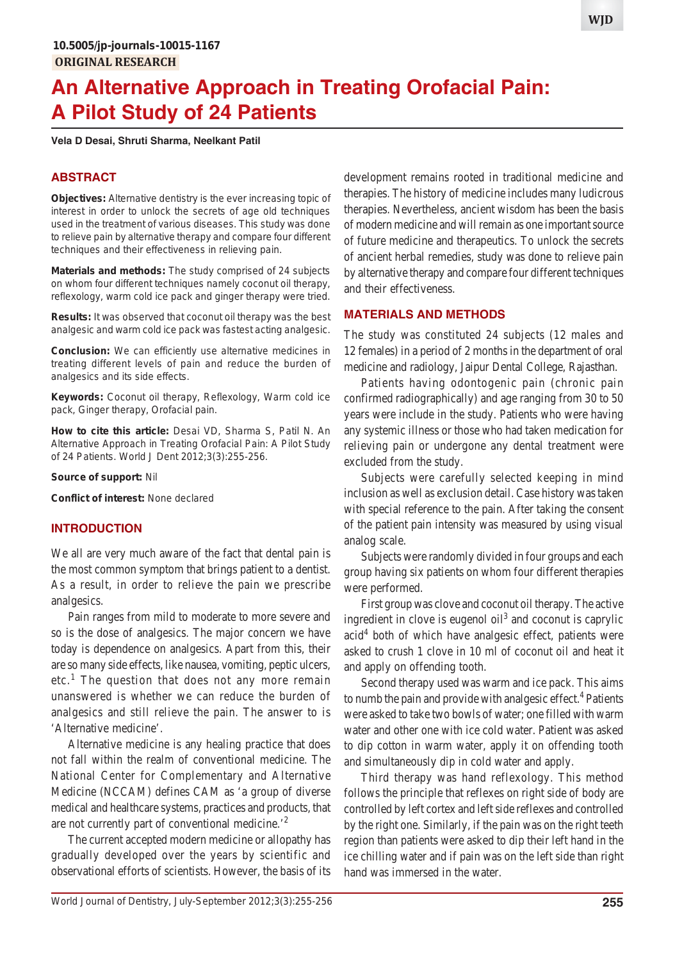# **An Alternative Approach in Treating Orofacial Pain: A Pilot Study of 24 Patients**

**Vela D Desai, Shruti Sharma, Neelkant Patil**

# **ABSTRACT**

**Objectives:** Alternative dentistry is the ever increasing topic of interest in order to unlock the secrets of age old techniques used in the treatment of various diseases. This study was done to relieve pain by alternative therapy and compare four different techniques and their effectiveness in relieving pain.

**Materials and methods:** The study comprised of 24 subjects on whom four different techniques namely coconut oil therapy, reflexology, warm cold ice pack and ginger therapy were tried.

**Results:** It was observed that coconut oil therapy was the best analgesic and warm cold ice pack was fastest acting analgesic.

**Conclusion:** We can efficiently use alternative medicines in treating different levels of pain and reduce the burden of analgesics and its side effects.

**Keywords:** Coconut oil therapy, Reflexology, Warm cold ice pack, Ginger therapy, Orofacial pain.

**How to cite this article:** Desai VD, Sharma S, Patil N. An Alternative Approach in Treating Orofacial Pain: A Pilot Study of 24 Patients. World J Dent 2012;3(3):255-256.

**Source of support:** Nil

**Conflict of interest:** None declared

## **INTRODUCTION**

We all are very much aware of the fact that dental pain is the most common symptom that brings patient to a dentist. As a result, in order to relieve the pain we prescribe analgesics.

Pain ranges from mild to moderate to more severe and so is the dose of analgesics. The major concern we have today is dependence on analgesics. Apart from this, their are so many side effects, like nausea, vomiting, peptic ulcers, etc.<sup>1</sup> The question that does not any more remain unanswered is whether we can reduce the burden of analgesics and still relieve the pain. The answer to is 'Alternative medicine'.

Alternative medicine is any healing practice that does not fall within the realm of conventional medicine. The National Center for Complementary and Alternative Medicine (NCCAM) defines CAM as 'a group of diverse medical and healthcare systems, practices and products, that are not currently part of conventional medicine.'2

The current accepted modern medicine or allopathy has gradually developed over the years by scientific and observational efforts of scientists. However, the basis of its development remains rooted in traditional medicine and therapies. The history of medicine includes many ludicrous therapies. Nevertheless, ancient wisdom has been the basis of modern medicine and will remain as one important source of future medicine and therapeutics. To unlock the secrets of ancient herbal remedies, study was done to relieve pain by alternative therapy and compare four different techniques and their effectiveness.

## **MATERIALS AND METHODS**

The study was constituted 24 subjects (12 males and 12 females) in a period of 2 months in the department of oral medicine and radiology, Jaipur Dental College, Rajasthan.

Patients having odontogenic pain (chronic pain confirmed radiographically) and age ranging from 30 to 50 years were include in the study. Patients who were having any systemic illness or those who had taken medication for relieving pain or undergone any dental treatment were excluded from the study.

Subjects were carefully selected keeping in mind inclusion as well as exclusion detail. Case history was taken with special reference to the pain. After taking the consent of the patient pain intensity was measured by using visual analog scale.

Subjects were randomly divided in four groups and each group having six patients on whom four different therapies were performed.

First group was clove and coconut oil therapy. The active ingredient in clove is eugenol  $\delta$  and coconut is caprylic acid<sup>4</sup> both of which have analgesic effect, patients were asked to crush 1 clove in 10 ml of coconut oil and heat it and apply on offending tooth.

Second therapy used was warm and ice pack. This aims to numb the pain and provide with analgesic effect.<sup>4</sup> Patients were asked to take two bowls of water; one filled with warm water and other one with ice cold water. Patient was asked to dip cotton in warm water, apply it on offending tooth and simultaneously dip in cold water and apply.

Third therapy was hand reflexology. This method follows the principle that reflexes on right side of body are controlled by left cortex and left side reflexes and controlled by the right one. Similarly, if the pain was on the right teeth region than patients were asked to dip their left hand in the ice chilling water and if pain was on the left side than right hand was immersed in the water.